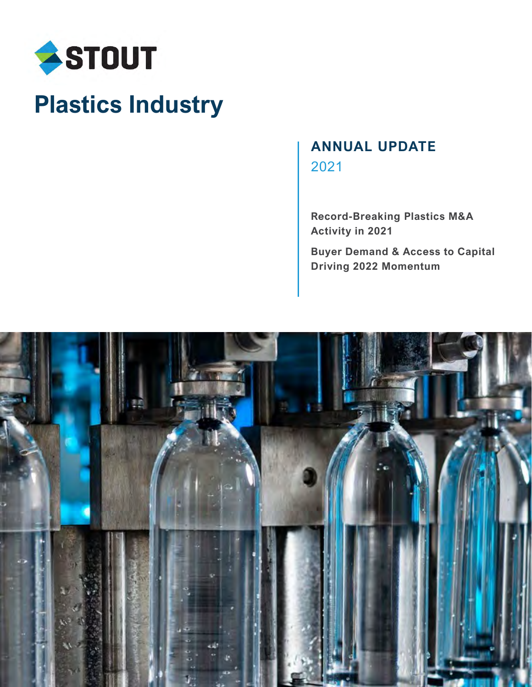

# **Plastics Industry**

# **ANNUAL UPDATE** 2021

**Record-Breaking Plastics M&A Activity in 2021**

**Buyer Demand & Access to Capital Driving 2022 Momentum**

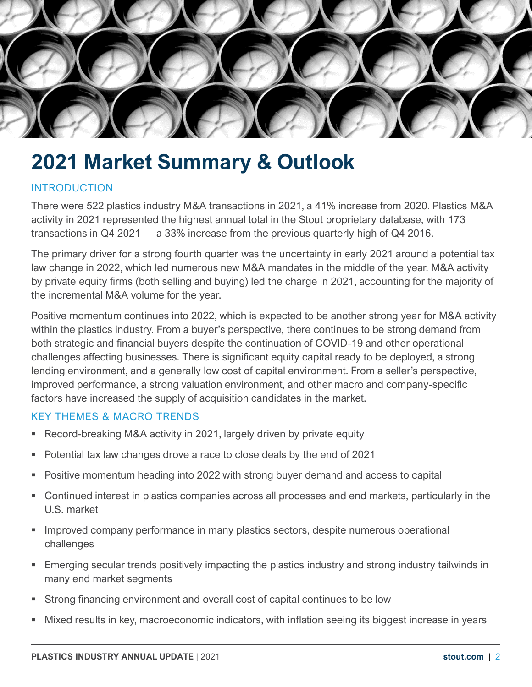

# **2021 Market Summary & Outlook**

## INTRODUCTION

There were 522 plastics industry M&A transactions in 2021, a 41% increase from 2020. Plastics M&A activity in 2021 represented the highest annual total in the Stout proprietary database, with 173 transactions in Q4 2021 — a 33% increase from the previous quarterly high of Q4 2016.

The primary driver for a strong fourth quarter was the uncertainty in early 2021 around a potential tax law change in 2022, which led numerous new M&A mandates in the middle of the year. M&A activity by private equity firms (both selling and buying) led the charge in 2021, accounting for the majority of the incremental M&A volume for the year.

Positive momentum continues into 2022, which is expected to be another strong year for M&A activity within the plastics industry. From a buyer's perspective, there continues to be strong demand from both strategic and financial buyers despite the continuation of COVID-19 and other operational challenges affecting businesses. There is significant equity capital ready to be deployed, a strong lending environment, and a generally low cost of capital environment. From a seller's perspective, improved performance, a strong valuation environment, and other macro and company-specific factors have increased the supply of acquisition candidates in the market.

### KEY THEMES & MACRO TRENDS

- Record-breaking M&A activity in 2021, largely driven by private equity
- Potential tax law changes drove a race to close deals by the end of 2021
- **Positive momentum heading into 2022 with strong buyer demand and access to capital**
- Continued interest in plastics companies across all processes and end markets, particularly in the U.S. market
- **Improved company performance in many plastics sectors, despite numerous operational** challenges
- Emerging secular trends positively impacting the plastics industry and strong industry tailwinds in many end market segments
- Strong financing environment and overall cost of capital continues to be low
- Mixed results in key, macroeconomic indicators, with inflation seeing its biggest increase in years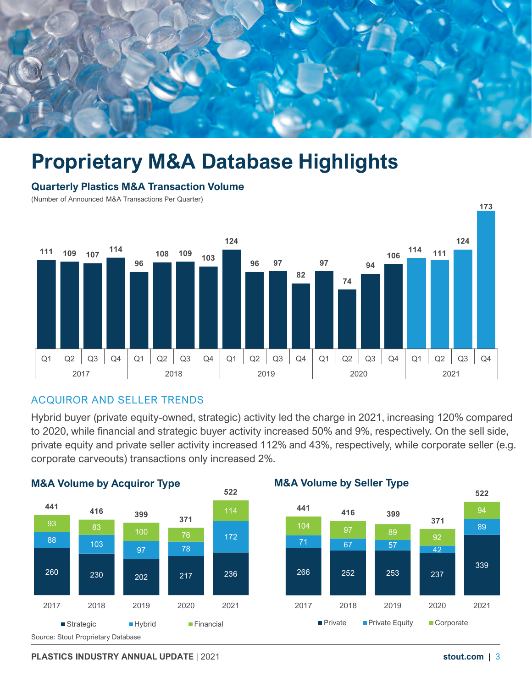

# **Proprietary M&A Database Highlights**

#### **Quarterly Plastics M&A Transaction Volume**

(Number of Announced M&A Transactions Per Quarter)



### ACQUIROR AND SELLER TRENDS

Hybrid buyer (private equity-owned, strategic) activity led the charge in 2021, increasing 120% compared to 2020, while financial and strategic buyer activity increased 50% and 9%, respectively. On the sell side, private equity and private seller activity increased 112% and 43%, respectively, while corporate seller (e.g. corporate carveouts) transactions only increased 2%.



**PLASTICS INDUSTRY ANNUAL UPDATE** | 2021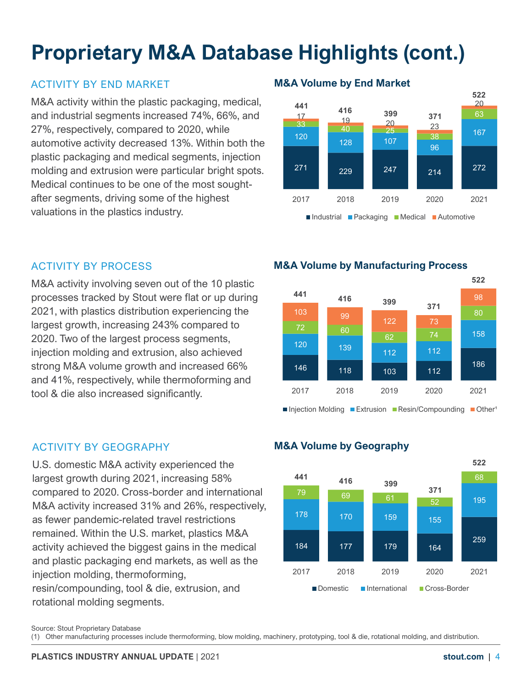# **Proprietary M&A Database Highlights (cont.)**

# ACTIVITY BY END MARKET **M&A Volume by End Market**

M&A activity within the plastic packaging, medical, and industrial segments increased 74%, 66%, and 27%, respectively, compared to 2020, while automotive activity decreased 13%. Within both the plastic packaging and medical segments, injection molding and extrusion were particular bright spots. Medical continues to be one of the most soughtafter segments, driving some of the highest valuations in the plastics industry.



M&A activity involving seven out of the 10 plastic processes tracked by Stout were flat or up during 2021, with plastics distribution experiencing the largest growth, increasing 243% compared to 2020. Two of the largest process segments, injection molding and extrusion, also achieved strong M&A volume growth and increased 66% and 41%, respectively, while thermoforming and tool & die also increased significantly.

# ACTIVITY BY GEOGRAPHY **M&A Volume by Geography**

U.S. domestic M&A activity experienced the largest growth during 2021, increasing 58% compared to 2020. Cross-border and international M&A activity increased 31% and 26%, respectively, as fewer pandemic-related travel restrictions remained. Within the U.S. market, plastics M&A activity achieved the biggest gains in the medical and plastic packaging end markets, as well as the injection molding, thermoforming, resin/compounding, tool & die, extrusion, and rotational molding segments.

## ACTIVITY BY PROCESS **M&A Volume by Manufacturing Process**





Source: Stout Proprietary Database

(1) Other manufacturing processes include thermoforming, blow molding, machinery, prototyping, tool & die, rotational molding, and distribution.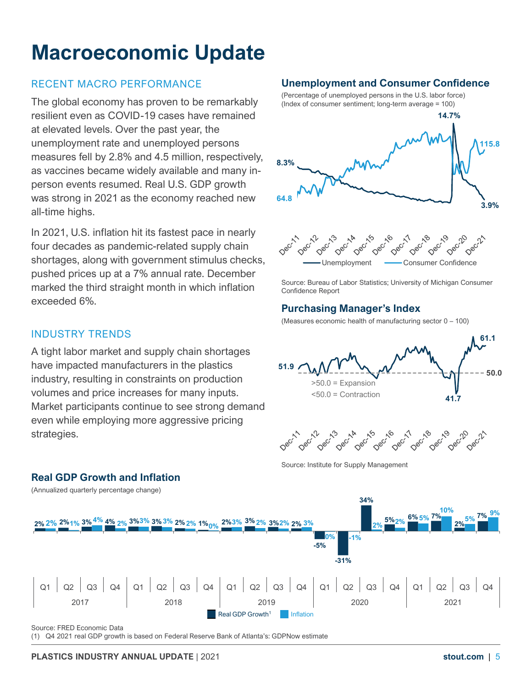# **Macroeconomic Update**

# RECENT MACRO PERFORMANCE

The global economy has proven to be remarkably resilient even as COVID-19 cases have remained at elevated levels. Over the past year, the unemployment rate and unemployed persons measures fell by 2.8% and 4.5 million, respectively, as vaccines became widely available and many inperson events resumed. Real U.S. GDP growth was strong in 2021 as the economy reached new all-time highs.

In 2021, U.S. inflation hit its fastest pace in nearly four decades as pandemic-related supply chain shortages, along with government stimulus checks, pushed prices up at a 7% annual rate. December marked the third straight month in which inflation exceeded 6%.

# INDUSTRY TRENDS

**Real GDP Growth and Inflation**

A tight labor market and supply chain shortages have impacted manufacturers in the plastics industry, resulting in constraints on production volumes and price increases for many inputs. Market participants continue to see strong demand even while employing more aggressive pricing strategies.

# **Unemployment and Consumer Confidence**

(Percentage of unemployed persons in the U.S. labor force) (Index of consumer sentiment; long-term average = 100)





Source: Bureau of Labor Statistics; University of Michigan Consumer Confidence Report

### **Purchasing Manager's Index**

(Measures economic health of manufacturing sector 0 - 100)





Source: Institute for Supply Management



Source: FRED Economic Data

(1) Q4 2021 real GDP growth is based on Federal Reserve Bank of Atlanta's: GDPNow estimate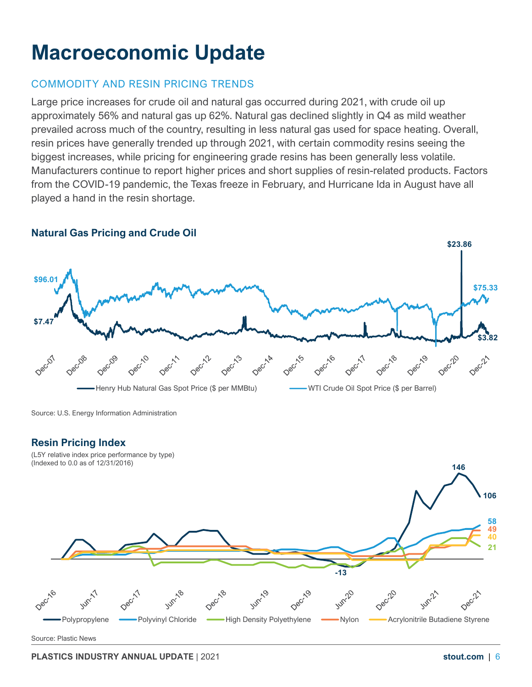# **Macroeconomic Update**

# COMMODITY AND RESIN PRICING TRENDS

Large price increases for crude oil and natural gas occurred during 2021, with crude oil up approximately 56% and natural gas up 62%. Natural gas declined slightly in Q4 as mild weather prevailed across much of the country, resulting in less natural gas used for space heating. Overall, resin prices have generally trended up through 2021, with certain commodity resins seeing the biggest increases, while pricing for engineering grade resins has been generally less volatile. Manufacturers continue to report higher prices and short supplies of resin-related products. Factors from the COVID-19 pandemic, the Texas freeze in February, and Hurricane Ida in August have all played a hand in the resin shortage.



**PLASTICS INDUSTRY ANNUAL UPDATE** | 2021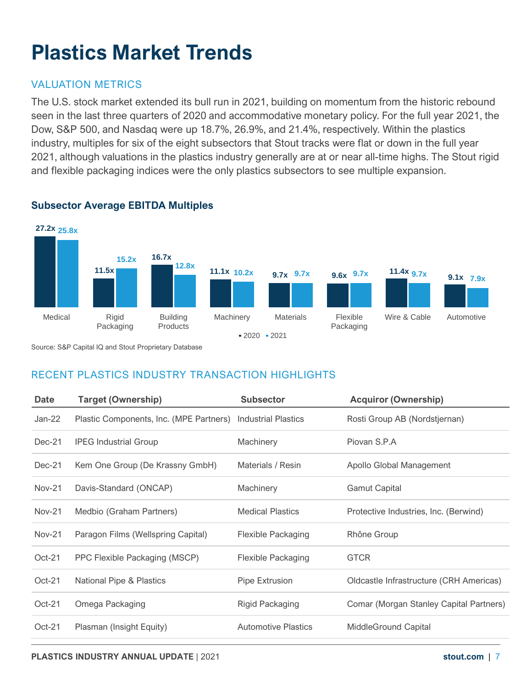# **Plastics Market Trends**

# VALUATION METRICS

The U.S. stock market extended its bull run in 2021, building on momentum from the historic rebound seen in the last three quarters of 2020 and accommodative monetary policy. For the full year 2021, the Dow, S&P 500, and Nasdaq were up 18.7%, 26.9%, and 21.4%, respectively. Within the plastics industry, multiples for six of the eight subsectors that Stout tracks were flat or down in the full year 2021, although valuations in the plastics industry generally are at or near all-time highs. The Stout rigid and flexible packaging indices were the only plastics subsectors to see multiple expansion.



### **Subsector Average EBITDA Multiples**

Source: S&P Capital IQ and Stout Proprietary Database

# RECENT PLASTICS INDUSTRY TRANSACTION HIGHLIGHTS

| <b>Date</b>   | <b>Target (Ownership)</b>                                   | <b>Subsector</b>           | <b>Acquiror (Ownership)</b>             |
|---------------|-------------------------------------------------------------|----------------------------|-----------------------------------------|
| Jan-22        | Plastic Components, Inc. (MPE Partners) Industrial Plastics |                            | Rosti Group AB (Nordstjernan)           |
| $Dec-21$      | <b>IPEG Industrial Group</b>                                | Machinery                  | Piovan S.P.A                            |
| $Dec-21$      | Kem One Group (De Krassny GmbH)                             | Materials / Resin          | Apollo Global Management                |
| <b>Nov-21</b> | Davis-Standard (ONCAP)                                      | Machinery                  | <b>Gamut Capital</b>                    |
| <b>Nov-21</b> | Medbio (Graham Partners)                                    | <b>Medical Plastics</b>    | Protective Industries, Inc. (Berwind)   |
| <b>Nov-21</b> | Paragon Films (Wellspring Capital)                          | <b>Flexible Packaging</b>  | Rhône Group                             |
| $Oct-21$      | PPC Flexible Packaging (MSCP)                               | <b>Flexible Packaging</b>  | <b>GTCR</b>                             |
| $Oct-21$      | National Pipe & Plastics                                    | Pipe Extrusion             | Oldcastle Infrastructure (CRH Americas) |
| $Oct-21$      | Omega Packaging                                             | Rigid Packaging            | Comar (Morgan Stanley Capital Partners) |
| $Oct-21$      | Plasman (Insight Equity)                                    | <b>Automotive Plastics</b> | <b>MiddleGround Capital</b>             |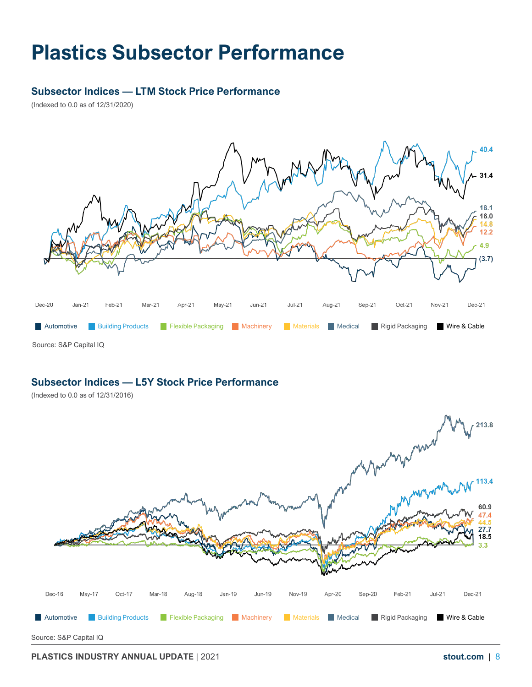# **Plastics Subsector Performance**

#### **Subsector Indices — LTM Stock Price Performance**

(Indexed to 0.0 as of 12/31/2020)



### **Subsector Indices — L5Y Stock Price Performance**

(Indexed to 0.0 as of 12/31/2016)



**PLASTICS INDUSTRY ANNUAL UPDATE** | 2021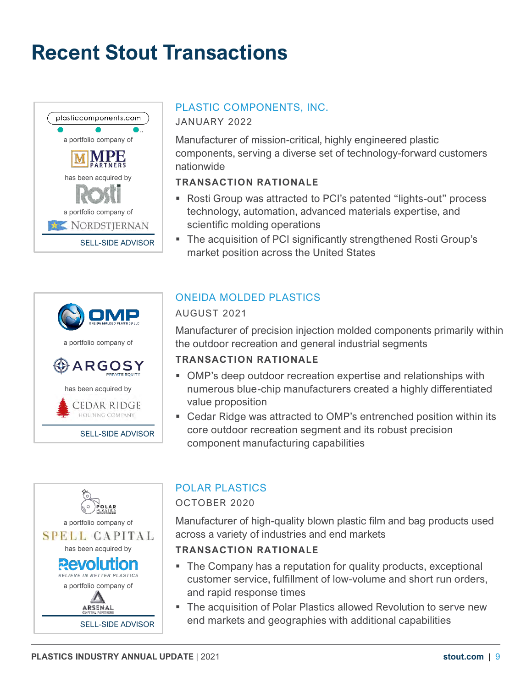# **Recent Stout Transactions**





Manufacturer of mission-critical, highly engineered plastic components, serving a diverse set of technology-forward customers

### **TRANSACTION RATIONALE**

- Rosti Group was attracted to PCI's patented "lights-out" process technology, automation, advanced materials expertise, and scientific molding operations
- The acquisition of PCI significantly strengthened Rosti Group's market position across the United States



# ONEIDA MOLDED PLASTICS

### AUGUST 2021

nationwide

Manufacturer of precision injection molded components primarily within the outdoor recreation and general industrial segments

### **TRANSACTION RATIONALE**

- OMP's deep outdoor recreation expertise and relationships with numerous blue-chip manufacturers created a highly differentiated value proposition
- Cedar Ridge was attracted to OMP's entrenched position within its core outdoor recreation segment and its robust precision component manufacturing capabilities



# POLAR PLASTICS

OCTOBER 2020

Manufacturer of high-quality blown plastic film and bag products used across a variety of industries and end markets

### **TRANSACTION RATIONALE**

- The Company has a reputation for quality products, exceptional customer service, fulfillment of low-volume and short run orders, and rapid response times
- The acquisition of Polar Plastics allowed Revolution to serve new end markets and geographies with additional capabilities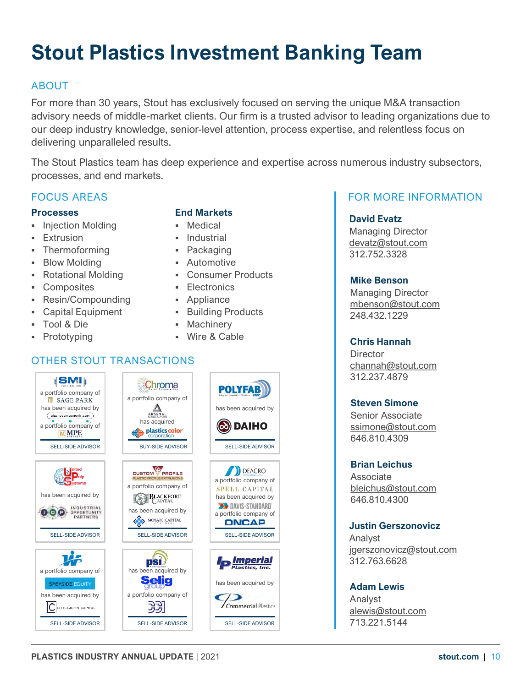# **Stout Plastics Investment Banking Team**

# ABOUT

For more than 30 years, Stout has exclusively focused on serving the unique M&A transaction advisory needs of middle-market clients. Our firm is a trusted advisor to leading organizations due to our deep industry knowledge, senior-level attention, process expertise, and relentless focus on delivering unparalleled results.

The Stout Plastics team has deep experience and expertise across numerous industry subsectors, processes, and end markets.

### FOCUS AREAS

#### **Processes**

- Injection Molding
- **Extrusion**
- Thermoforming
- **Blow Molding**
- Rotational Molding
- Composites
- Resin/Compounding
- Capital Equipment
- Tool & Die
- Prototyping

#### **End Markets**

- Medical
- **·** Industrial
- Packaging
- **Automotive**
- Consumer Products
- **Electronics**
- Appliance
- **Building Products**
- Machinery
- Wire & Cable

# OTHER STOUT TRANSACTIONS



## FOR MORE INFORMATION

#### **David Evatz**

Managing Director [devatz@stout.com](mailto:devatz@stout.com) 312.752.3328

#### **Mike Benson**

Managing Director [mbenson@stout.com](mailto:mbenson@stout.com) 248.432.1229

#### **Chris Hannah**

**Director** [channah@stout.com](mailto:channah@stout.com) 312.237.4879

#### **Steven Simone**

Senior Associate [ssimone@stout.com](mailto:ssimone@stout.com) 646.810.4309

#### **Brian Leichus**

Associate [bleichus@stout.com](mailto:bleichus@stout.com) 646.810.4300

#### **Justin Gerszonovicz**

Analyst [jgerszonovicz@stout.com](mailto:cjgerszonovicz@stout.com) 312.763.6628

#### **Adam Lewis**

Analyst [alewis@stout.com](mailto:alewis@stout.com) 713.221.5144